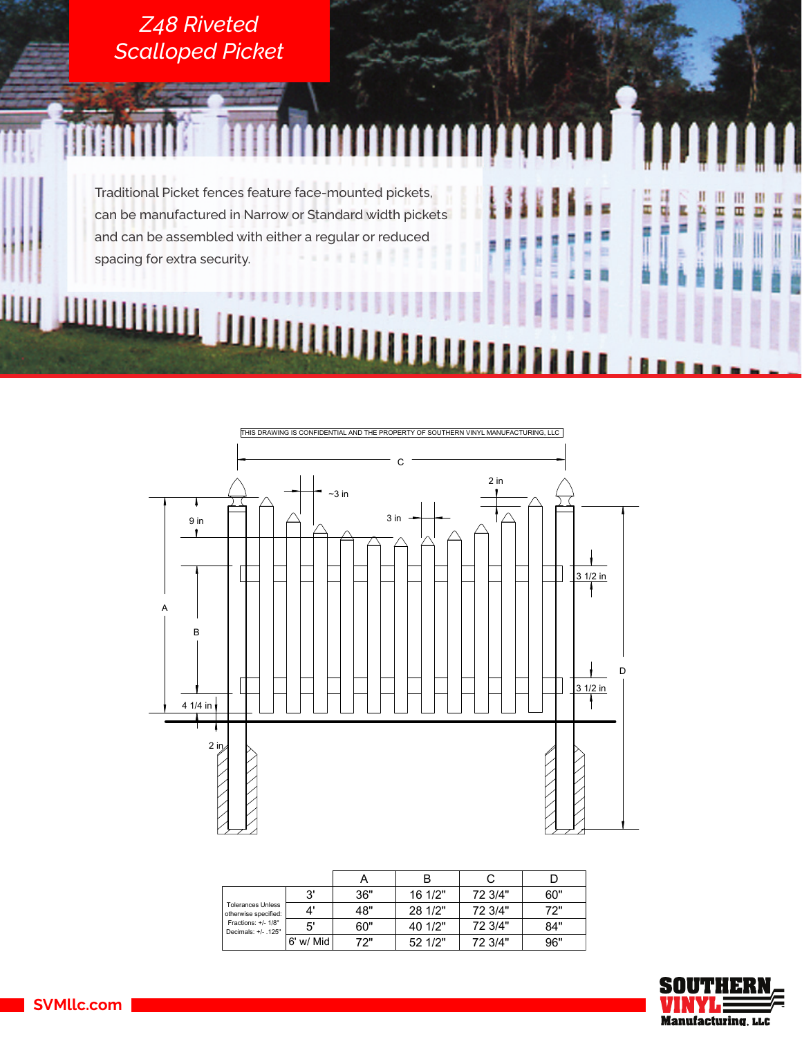



|                                                  |           |     | B       |         |     |
|--------------------------------------------------|-----------|-----|---------|---------|-----|
|                                                  | 3'        | 36" | 16 1/2" | 72 3/4" | 60" |
| <b>Tolerances Unless</b><br>otherwise specified: | Δ'        | 48" | 28 1/2" | 72 3/4" | 72" |
| Fractions: +/- 1/8"<br>Decimals: +/- .125"       | 5'        | 60" | 40 1/2" | 72 3/4" | 84" |
|                                                  | 6' w/ Mid | 72" | 52 1/2" | 72 3/4" | 96" |